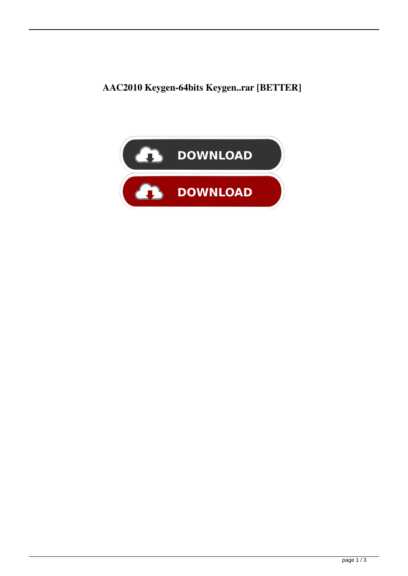**AAC2010 Keygen-64bits Keygen..rar [BETTER]**

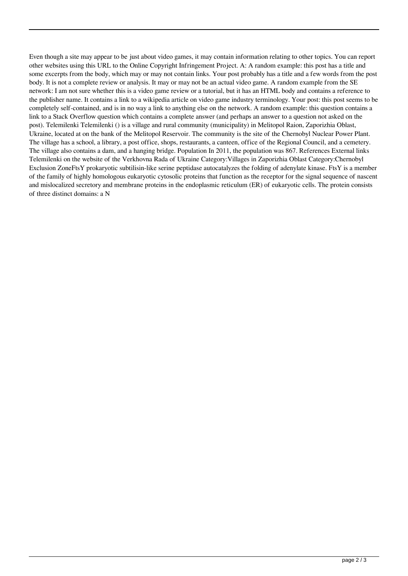Even though a site may appear to be just about video games, it may contain information relating to other topics. You can report other websites using this URL to the Online Copyright Infringement Project. A: A random example: this post has a title and some excerpts from the body, which may or may not contain links. Your post probably has a title and a few words from the post body. It is not a complete review or analysis. It may or may not be an actual video game. A random example from the SE network: I am not sure whether this is a video game review or a tutorial, but it has an HTML body and contains a reference to the publisher name. It contains a link to a wikipedia article on video game industry terminology. Your post: this post seems to be completely self-contained, and is in no way a link to anything else on the network. A random example: this question contains a link to a Stack Overflow question which contains a complete answer (and perhaps an answer to a question not asked on the post). Telemilenki Telemilenki () is a village and rural community (municipality) in Melitopol Raion, Zaporizhia Oblast, Ukraine, located at on the bank of the Melitopol Reservoir. The community is the site of the Chernobyl Nuclear Power Plant. The village has a school, a library, a post office, shops, restaurants, a canteen, office of the Regional Council, and a cemetery. The village also contains a dam, and a hanging bridge. Population In 2011, the population was 867. References External links Telemilenki on the website of the Verkhovna Rada of Ukraine Category:Villages in Zaporizhia Oblast Category:Chernobyl Exclusion ZoneFtsY prokaryotic subtilisin-like serine peptidase autocatalyzes the folding of adenylate kinase. FtsY is a member of the family of highly homologous eukaryotic cytosolic proteins that function as the receptor for the signal sequence of nascent and mislocalized secretory and membrane proteins in the endoplasmic reticulum (ER) of eukaryotic cells. The protein consists of three distinct domains: a N